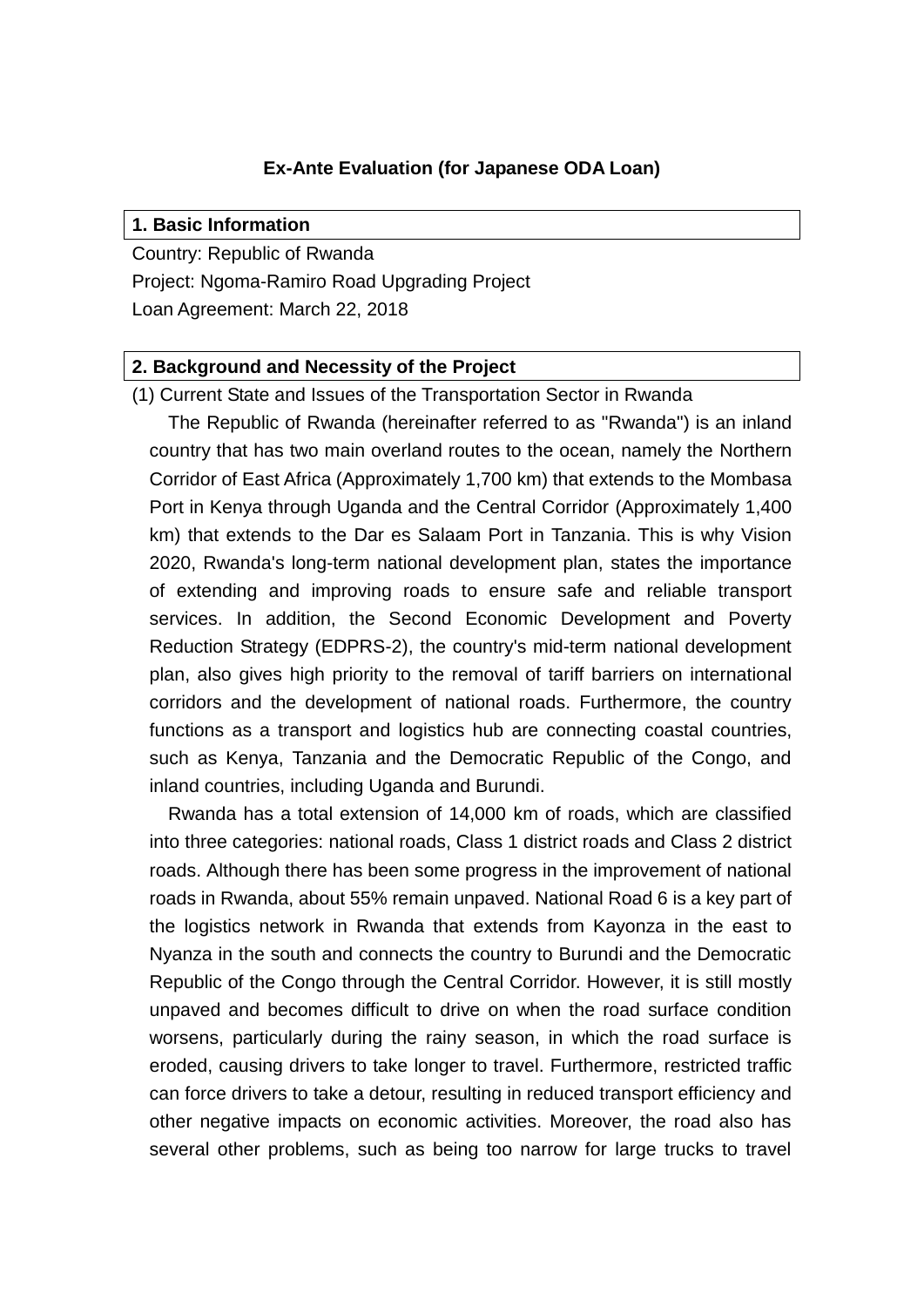### **Ex-Ante Evaluation (for Japanese ODA Loan)**

#### **1. Basic Information**

Country: Republic of Rwanda Project: Ngoma-Ramiro Road Upgrading Project Loan Agreement: March 22, 2018

#### **2. Background and Necessity of the Project**

(1) Current State and Issues of the Transportation Sector in Rwanda

The Republic of Rwanda (hereinafter referred to as "Rwanda") is an inland country that has two main overland routes to the ocean, namely the Northern Corridor of East Africa (Approximately 1,700 km) that extends to the Mombasa Port in Kenya through Uganda and the Central Corridor (Approximately 1,400 km) that extends to the Dar es Salaam Port in Tanzania. This is why Vision 2020, Rwanda's long-term national development plan, states the importance of extending and improving roads to ensure safe and reliable transport services. In addition, the Second Economic Development and Poverty Reduction Strategy (EDPRS-2), the country's mid-term national development plan, also gives high priority to the removal of tariff barriers on international corridors and the development of national roads. Furthermore, the country functions as a transport and logistics hub are connecting coastal countries, such as Kenya, Tanzania and the Democratic Republic of the Congo, and inland countries, including Uganda and Burundi.

Rwanda has a total extension of 14,000 km of roads, which are classified into three categories: national roads, Class 1 district roads and Class 2 district roads. Although there has been some progress in the improvement of national roads in Rwanda, about 55% remain unpaved. National Road 6 is a key part of the logistics network in Rwanda that extends from Kayonza in the east to Nyanza in the south and connects the country to Burundi and the Democratic Republic of the Congo through the Central Corridor. However, it is still mostly unpaved and becomes difficult to drive on when the road surface condition worsens, particularly during the rainy season, in which the road surface is eroded, causing drivers to take longer to travel. Furthermore, restricted traffic can force drivers to take a detour, resulting in reduced transport efficiency and other negative impacts on economic activities. Moreover, the road also has several other problems, such as being too narrow for large trucks to travel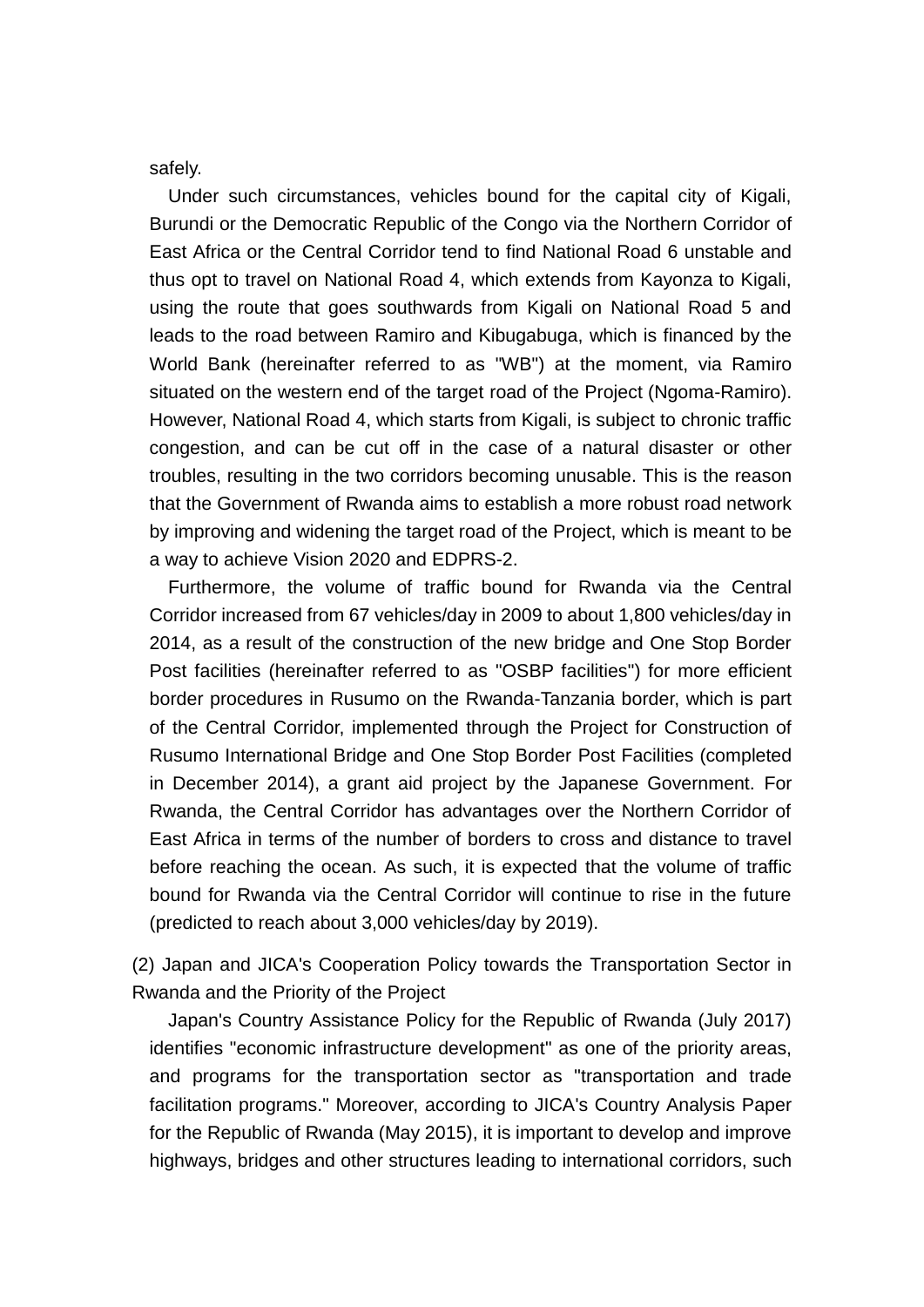safely.

Under such circumstances, vehicles bound for the capital city of Kigali, Burundi or the Democratic Republic of the Congo via the Northern Corridor of East Africa or the Central Corridor tend to find National Road 6 unstable and thus opt to travel on National Road 4, which extends from Kayonza to Kigali, using the route that goes southwards from Kigali on National Road 5 and leads to the road between Ramiro and Kibugabuga, which is financed by the World Bank (hereinafter referred to as "WB") at the moment, via Ramiro situated on the western end of the target road of the Project (Ngoma-Ramiro). However, National Road 4, which starts from Kigali, is subject to chronic traffic congestion, and can be cut off in the case of a natural disaster or other troubles, resulting in the two corridors becoming unusable. This is the reason that the Government of Rwanda aims to establish a more robust road network by improving and widening the target road of the Project, which is meant to be a way to achieve Vision 2020 and EDPRS-2.

Furthermore, the volume of traffic bound for Rwanda via the Central Corridor increased from 67 vehicles/day in 2009 to about 1,800 vehicles/day in 2014, as a result of the construction of the new bridge and One Stop Border Post facilities (hereinafter referred to as "OSBP facilities") for more efficient border procedures in Rusumo on the Rwanda-Tanzania border, which is part of the Central Corridor, implemented through the Project for Construction of Rusumo International Bridge and One Stop Border Post Facilities (completed in December 2014), a grant aid project by the Japanese Government. For Rwanda, the Central Corridor has advantages over the Northern Corridor of East Africa in terms of the number of borders to cross and distance to travel before reaching the ocean. As such, it is expected that the volume of traffic bound for Rwanda via the Central Corridor will continue to rise in the future (predicted to reach about 3,000 vehicles/day by 2019).

(2) Japan and JICA's Cooperation Policy towards the Transportation Sector in Rwanda and the Priority of the Project

Japan's Country Assistance Policy for the Republic of Rwanda (July 2017) identifies "economic infrastructure development" as one of the priority areas, and programs for the transportation sector as "transportation and trade facilitation programs." Moreover, according to JICA's Country Analysis Paper for the Republic of Rwanda (May 2015), it is important to develop and improve highways, bridges and other structures leading to international corridors, such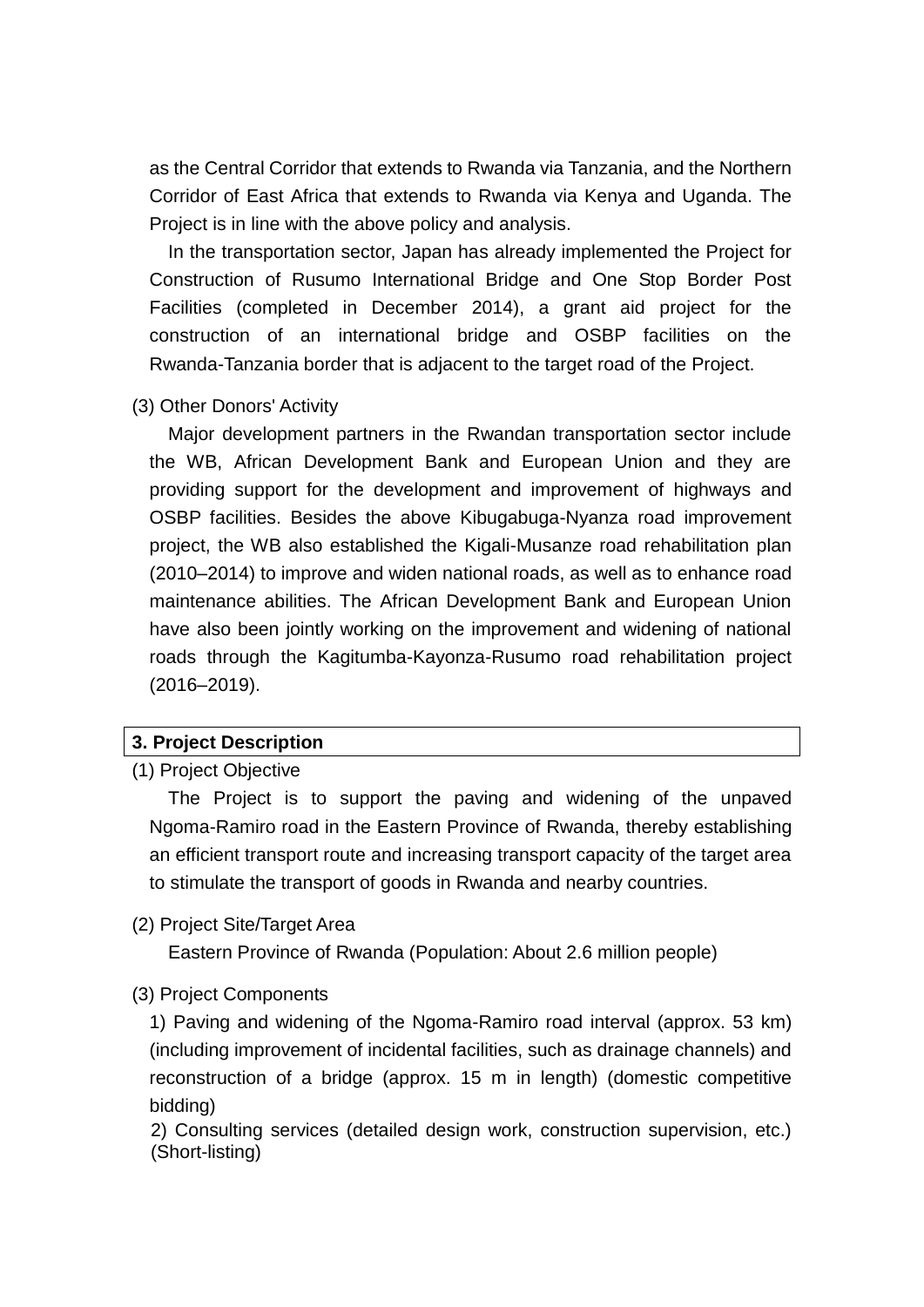as the Central Corridor that extends to Rwanda via Tanzania, and the Northern Corridor of East Africa that extends to Rwanda via Kenya and Uganda. The Project is in line with the above policy and analysis.

In the transportation sector, Japan has already implemented the Project for Construction of Rusumo International Bridge and One Stop Border Post Facilities (completed in December 2014), a grant aid project for the construction of an international bridge and OSBP facilities on the Rwanda-Tanzania border that is adjacent to the target road of the Project.

(3) Other Donors' Activity

Major development partners in the Rwandan transportation sector include the WB, African Development Bank and European Union and they are providing support for the development and improvement of highways and OSBP facilities. Besides the above Kibugabuga-Nyanza road improvement project, the WB also established the Kigali-Musanze road rehabilitation plan (2010–2014) to improve and widen national roads, as well as to enhance road maintenance abilities. The African Development Bank and European Union have also been jointly working on the improvement and widening of national roads through the Kagitumba-Kayonza-Rusumo road rehabilitation project (2016–2019).

### **3. Project Description**

(1) Project Objective

The Project is to support the paving and widening of the unpaved Ngoma-Ramiro road in the Eastern Province of Rwanda, thereby establishing an efficient transport route and increasing transport capacity of the target area to stimulate the transport of goods in Rwanda and nearby countries.

(2) Project Site/Target Area

Eastern Province of Rwanda (Population: About 2.6 million people)

(3) Project Components

1) Paving and widening of the Ngoma-Ramiro road interval (approx. 53 km) (including improvement of incidental facilities, such as drainage channels) and reconstruction of a bridge (approx. 15 m in length) (domestic competitive bidding)

2) Consulting services (detailed design work, construction supervision, etc.) (Short-listing)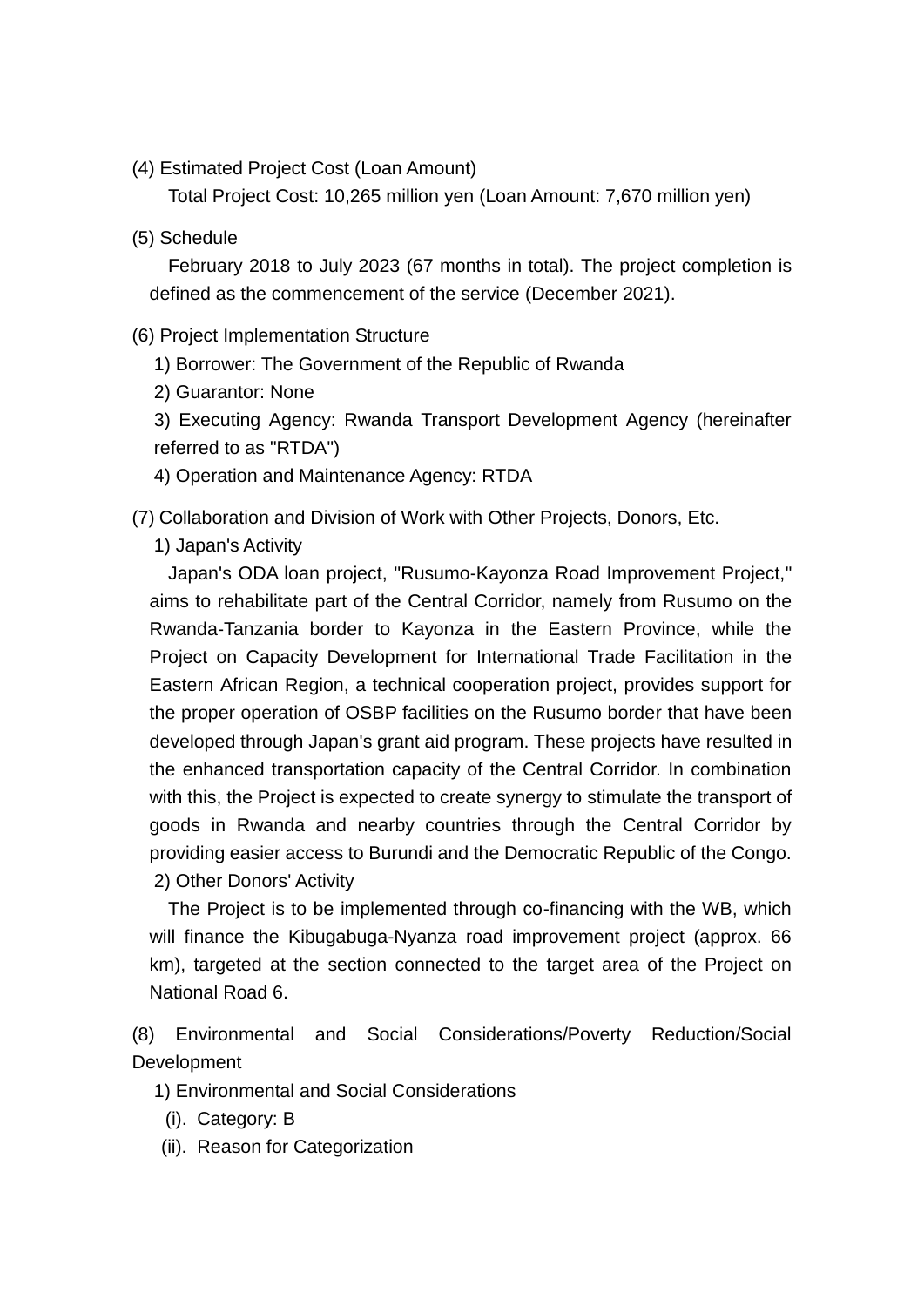(4) Estimated Project Cost (Loan Amount)

Total Project Cost: 10,265 million yen (Loan Amount: 7,670 million yen)

(5) Schedule

February 2018 to July 2023 (67 months in total). The project completion is defined as the commencement of the service (December 2021).

(6) Project Implementation Structure

1) Borrower: The Government of the Republic of Rwanda

2) Guarantor: None

3) Executing Agency: Rwanda Transport Development Agency (hereinafter referred to as "RTDA")

4) Operation and Maintenance Agency: RTDA

(7) Collaboration and Division of Work with Other Projects, Donors, Etc.

1) Japan's Activity

Japan's ODA loan project, "Rusumo-Kayonza Road Improvement Project," aims to rehabilitate part of the Central Corridor, namely from Rusumo on the Rwanda-Tanzania border to Kayonza in the Eastern Province, while the Project on Capacity Development for International Trade Facilitation in the Eastern African Region, a technical cooperation project, provides support for the proper operation of OSBP facilities on the Rusumo border that have been developed through Japan's grant aid program. These projects have resulted in the enhanced transportation capacity of the Central Corridor. In combination with this, the Project is expected to create synergy to stimulate the transport of goods in Rwanda and nearby countries through the Central Corridor by providing easier access to Burundi and the Democratic Republic of the Congo. 2) Other Donors' Activity

The Project is to be implemented through co-financing with the WB, which will finance the Kibugabuga-Nyanza road improvement project (approx. 66 km), targeted at the section connected to the target area of the Project on National Road 6.

(8) Environmental and Social Considerations/Poverty Reduction/Social **Development** 

1) Environmental and Social Considerations

(i). Category: B

(ii). Reason for Categorization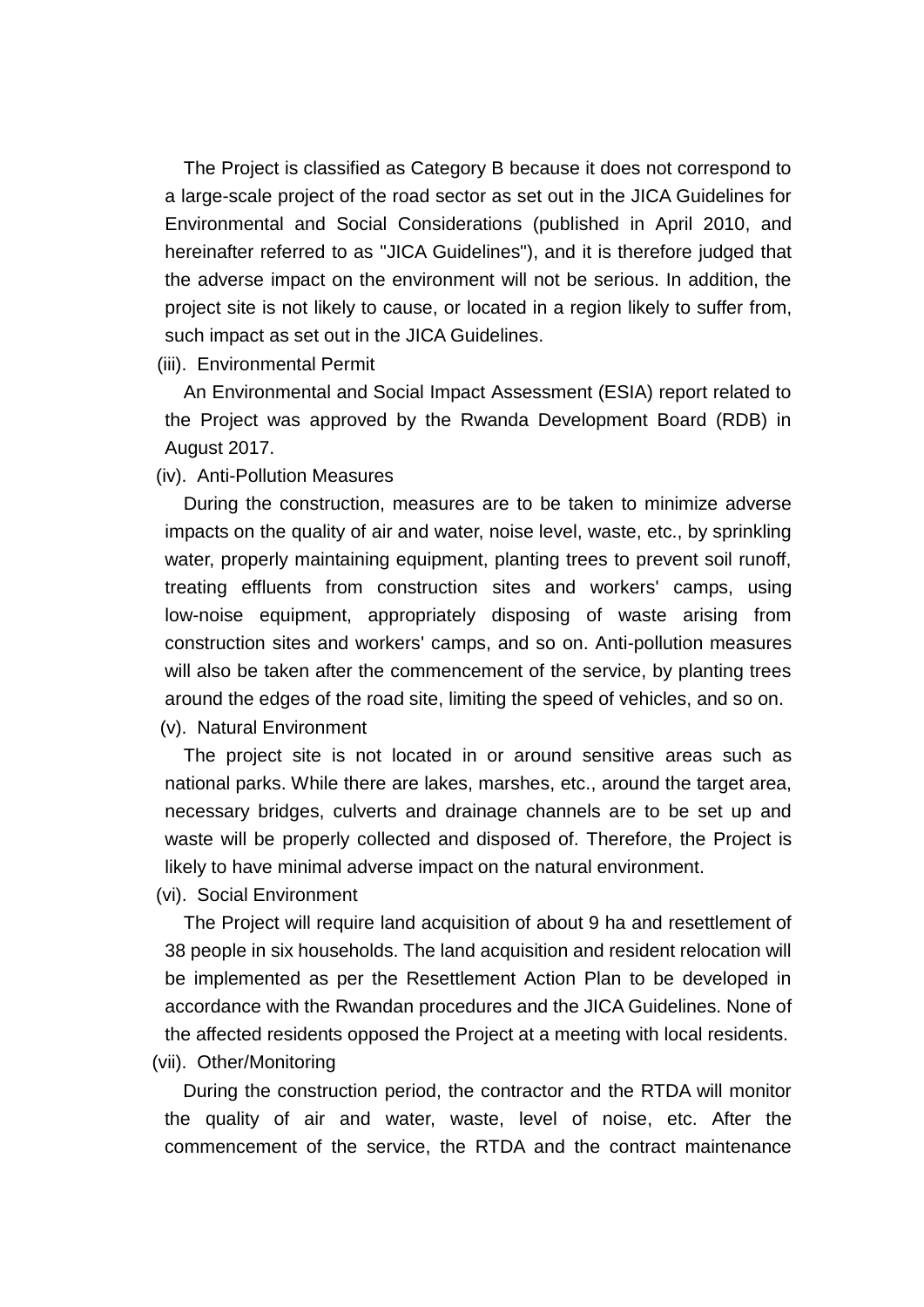The Project is classified as Category B because it does not correspond to a large-scale project of the road sector as set out in the JICA Guidelines for Environmental and Social Considerations (published in April 2010, and hereinafter referred to as "JICA Guidelines"), and it is therefore judged that the adverse impact on the environment will not be serious. In addition, the project site is not likely to cause, or located in a region likely to suffer from, such impact as set out in the JICA Guidelines.

(iii). Environmental Permit

An Environmental and Social Impact Assessment (ESIA) report related to the Project was approved by the Rwanda Development Board (RDB) in August 2017.

(iv). Anti-Pollution Measures

During the construction, measures are to be taken to minimize adverse impacts on the quality of air and water, noise level, waste, etc., by sprinkling water, properly maintaining equipment, planting trees to prevent soil runoff, treating effluents from construction sites and workers' camps, using low-noise equipment, appropriately disposing of waste arising from construction sites and workers' camps, and so on. Anti-pollution measures will also be taken after the commencement of the service, by planting trees around the edges of the road site, limiting the speed of vehicles, and so on. (v). Natural Environment

The project site is not located in or around sensitive areas such as national parks. While there are lakes, marshes, etc., around the target area, necessary bridges, culverts and drainage channels are to be set up and waste will be properly collected and disposed of. Therefore, the Project is likely to have minimal adverse impact on the natural environment.

(vi). Social Environment

The Project will require land acquisition of about 9 ha and resettlement of 38 people in six households. The land acquisition and resident relocation will be implemented as per the Resettlement Action Plan to be developed in accordance with the Rwandan procedures and the JICA Guidelines. None of the affected residents opposed the Project at a meeting with local residents. (vii). Other/Monitoring

During the construction period, the contractor and the RTDA will monitor the quality of air and water, waste, level of noise, etc. After the commencement of the service, the RTDA and the contract maintenance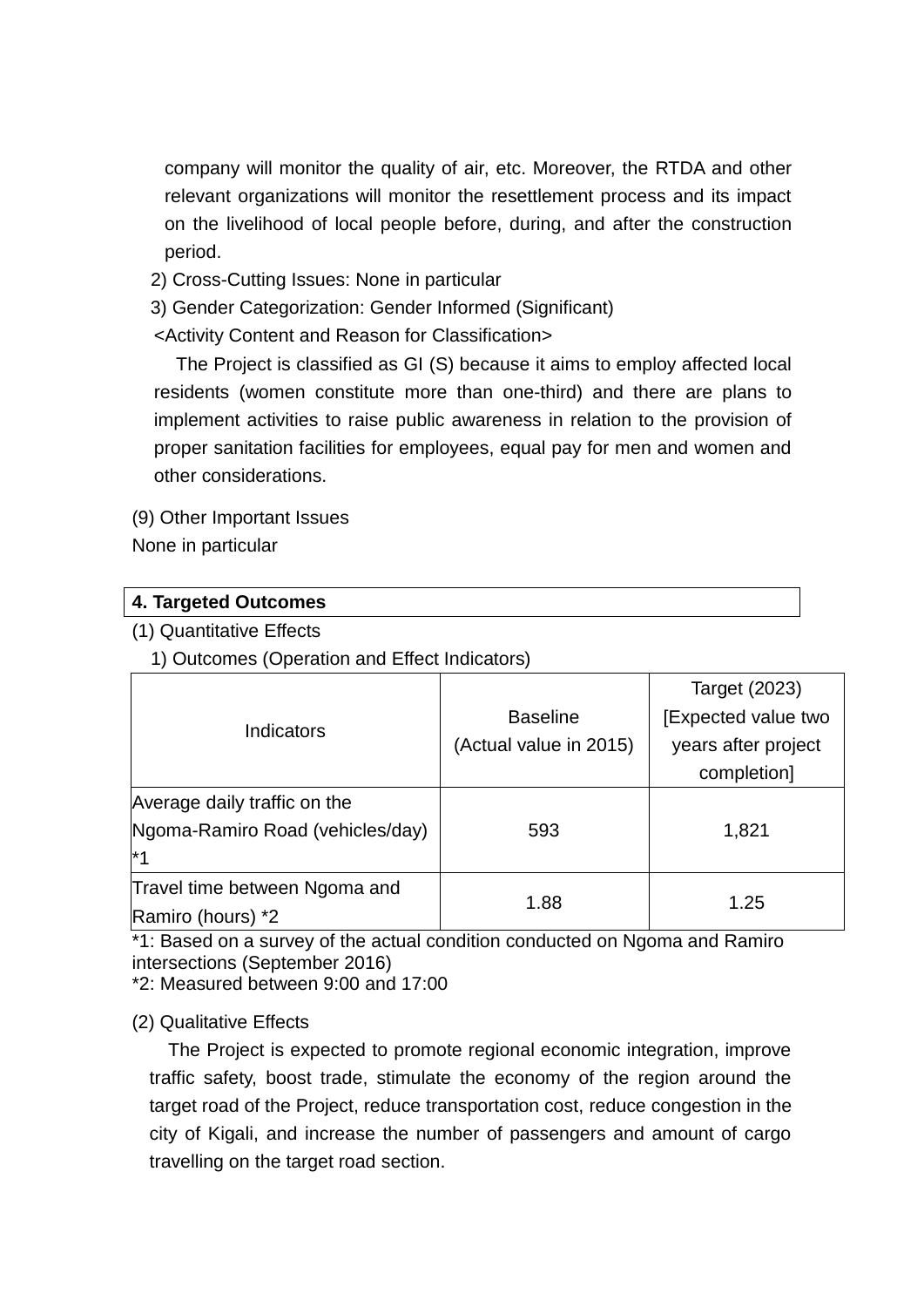company will monitor the quality of air, etc. Moreover, the RTDA and other relevant organizations will monitor the resettlement process and its impact on the livelihood of local people before, during, and after the construction period.

- 2) Cross-Cutting Issues: None in particular
- 3) Gender Categorization: Gender Informed (Significant)

<Activity Content and Reason for Classification>

The Project is classified as GI (S) because it aims to employ affected local residents (women constitute more than one-third) and there are plans to implement activities to raise public awareness in relation to the provision of proper sanitation facilities for employees, equal pay for men and women and other considerations.

(9) Other Important Issues

None in particular

| 4. Targeted Outcomes |  |
|----------------------|--|
| .                    |  |

(1) Quantitative Effects

1) Outcomes (Operation and Effect Indicators)

|                                  |                        | Target (2023)       |
|----------------------------------|------------------------|---------------------|
| <b>Indicators</b>                | <b>Baseline</b>        | [Expected value two |
|                                  | (Actual value in 2015) | years after project |
|                                  |                        | completion]         |
| Average daily traffic on the     |                        |                     |
| Ngoma-Ramiro Road (vehicles/day) | 593                    | 1,821               |
| $*$ 4                            |                        |                     |
| Travel time between Ngoma and    |                        |                     |
| Ramiro (hours) *2                | 1.88                   | 1.25                |

\*1: Based on a survey of the actual condition conducted on Ngoma and Ramiro intersections (September 2016)

\*2: Measured between 9:00 and 17:00

(2) Qualitative Effects

The Project is expected to promote regional economic integration, improve traffic safety, boost trade, stimulate the economy of the region around the target road of the Project, reduce transportation cost, reduce congestion in the city of Kigali, and increase the number of passengers and amount of cargo travelling on the target road section.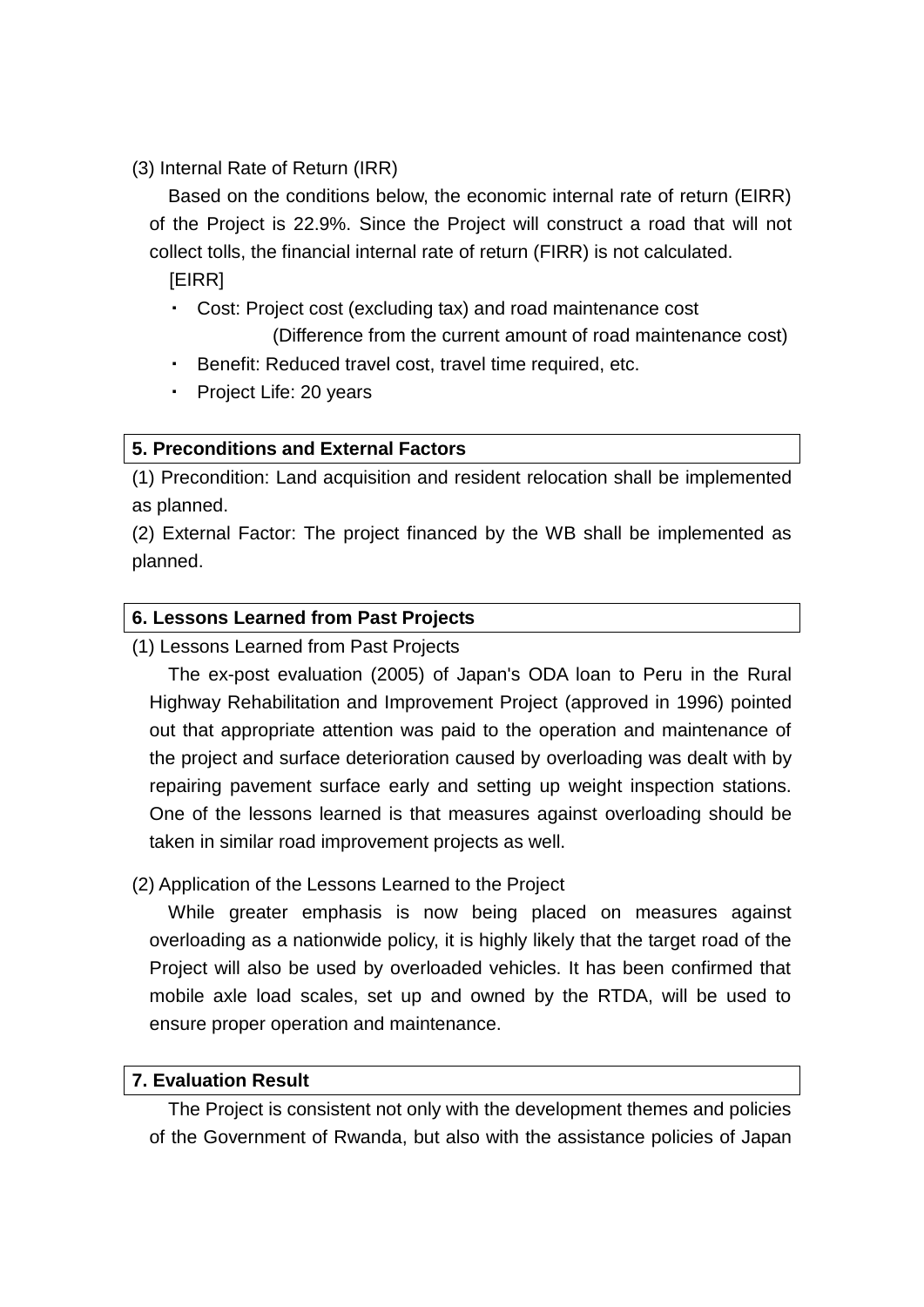(3) Internal Rate of Return (IRR)

Based on the conditions below, the economic internal rate of return (EIRR) of the Project is 22.9%. Since the Project will construct a road that will not collect tolls, the financial internal rate of return (FIRR) is not calculated.

[EIRR]

- ・ Cost: Project cost (excluding tax) and road maintenance cost (Difference from the current amount of road maintenance cost)
- ・ Benefit: Reduced travel cost, travel time required, etc.
- Project Life: 20 years

# **5. Preconditions and External Factors**

(1) Precondition: Land acquisition and resident relocation shall be implemented as planned.

(2) External Factor: The project financed by the WB shall be implemented as planned.

## **6. Lessons Learned from Past Projects**

(1) Lessons Learned from Past Projects

The ex-post evaluation (2005) of Japan's ODA loan to Peru in the Rural Highway Rehabilitation and Improvement Project (approved in 1996) pointed out that appropriate attention was paid to the operation and maintenance of the project and surface deterioration caused by overloading was dealt with by repairing pavement surface early and setting up weight inspection stations. One of the lessons learned is that measures against overloading should be taken in similar road improvement projects as well.

(2) Application of the Lessons Learned to the Project

While greater emphasis is now being placed on measures against overloading as a nationwide policy, it is highly likely that the target road of the Project will also be used by overloaded vehicles. It has been confirmed that mobile axle load scales, set up and owned by the RTDA, will be used to ensure proper operation and maintenance.

## **7. Evaluation Result**

The Project is consistent not only with the development themes and policies of the Government of Rwanda, but also with the assistance policies of Japan